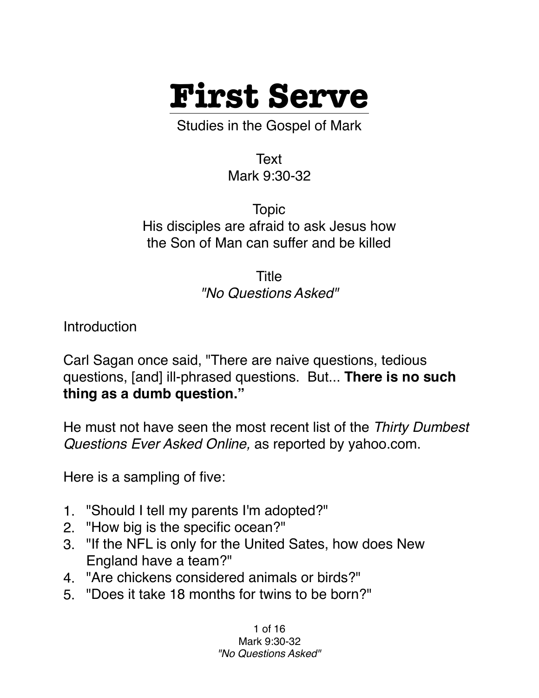

Studies in the Gospel of Mark

Text Mark 9:30-32

Topic His disciples are afraid to ask Jesus how the Son of Man can suffer and be killed

> Title *"No Questions Asked"*

**Introduction** 

Carl Sagan once said, "There are naive questions, tedious questions, [and] ill-phrased questions. But... **There is no such thing as a dumb question."**

He must not have seen the most recent list of the *Thirty Dumbest Questions Ever Asked Online,* as reported by yahoo.com.

Here is a sampling of five:

- 1. "Should I tell my parents I'm adopted?"
- 2. "How big is the specific ocean?"
- 3. "If the NFL is only for the United Sates, how does New England have a team?"
- 4. "Are chickens considered animals or birds?"
- 5. "Does it take 18 months for twins to be born?"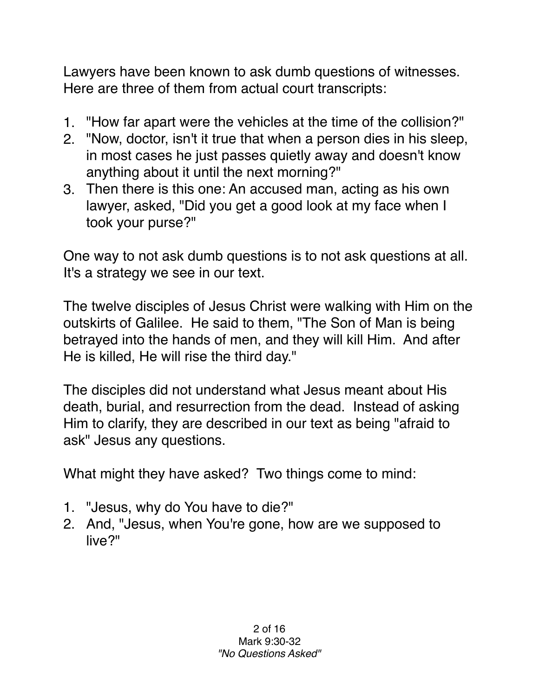Lawyers have been known to ask dumb questions of witnesses. Here are three of them from actual court transcripts:

- 1. "How far apart were the vehicles at the time of the collision?"
- 2. "Now, doctor, isn't it true that when a person dies in his sleep, in most cases he just passes quietly away and doesn't know anything about it until the next morning?"
- 3. Then there is this one: An accused man, acting as his own lawyer, asked, "Did you get a good look at my face when I took your purse?"

One way to not ask dumb questions is to not ask questions at all. It's a strategy we see in our text.

The twelve disciples of Jesus Christ were walking with Him on the outskirts of Galilee. He said to them, "The Son of Man is being betrayed into the hands of men, and they will kill Him. And after He is killed, He will rise the third day."

The disciples did not understand what Jesus meant about His death, burial, and resurrection from the dead. Instead of asking Him to clarify, they are described in our text as being "afraid to ask" Jesus any questions.

What might they have asked? Two things come to mind:

- 1. "Jesus, why do You have to die?"
- 2. And, "Jesus, when You're gone, how are we supposed to live?"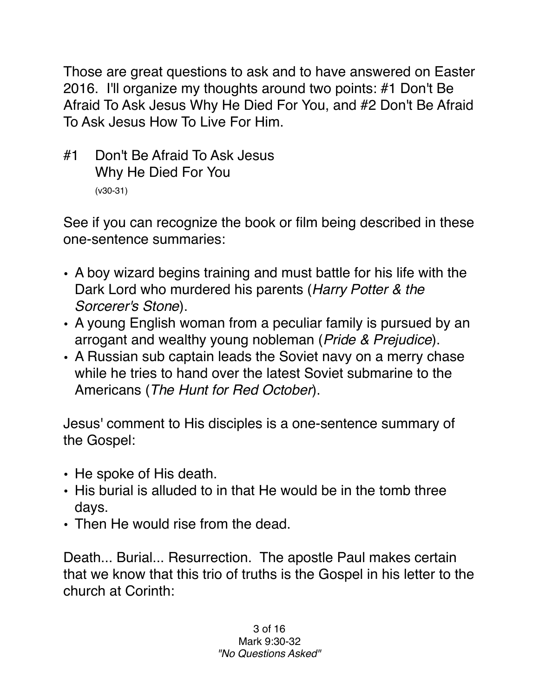Those are great questions to ask and to have answered on Easter 2016. I'll organize my thoughts around two points: #1 Don't Be Afraid To Ask Jesus Why He Died For You, and #2 Don't Be Afraid To Ask Jesus How To Live For Him.

#1 Don't Be Afraid To Ask Jesus Why He Died For You (v30-31)

See if you can recognize the book or film being described in these one-sentence summaries:

- A boy wizard begins training and must battle for his life with the Dark Lord who murdered his parents (*Harry Potter & the Sorcerer's Stone*).
- A young English woman from a peculiar family is pursued by an arrogant and wealthy young nobleman (*Pride & Prejudice*).
- A Russian sub captain leads the Soviet navy on a merry chase while he tries to hand over the latest Soviet submarine to the Americans (*The Hunt for Red October*).

Jesus' comment to His disciples is a one-sentence summary of the Gospel:

- He spoke of His death.
- His burial is alluded to in that He would be in the tomb three days.
- Then He would rise from the dead.

Death... Burial... Resurrection. The apostle Paul makes certain that we know that this trio of truths is the Gospel in his letter to the church at Corinth: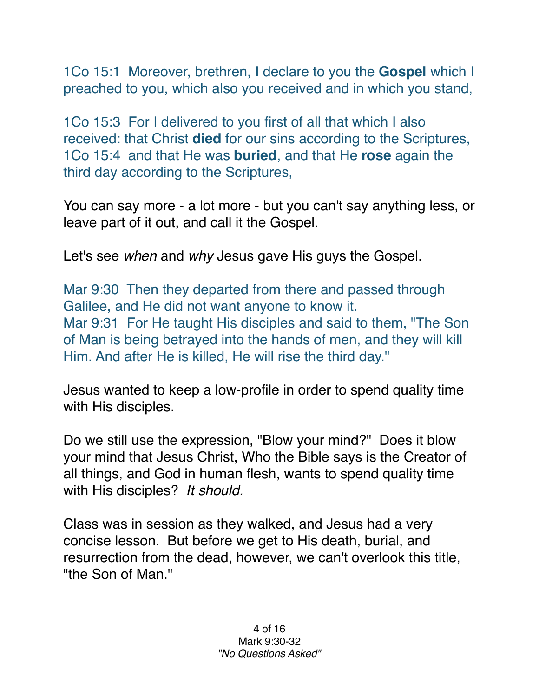1Co 15:1 Moreover, brethren, I declare to you the **Gospel** which I preached to you, which also you received and in which you stand,

1Co 15:3 For I delivered to you first of all that which I also received: that Christ **died** for our sins according to the Scriptures, 1Co 15:4 and that He was **buried**, and that He **rose** again the third day according to the Scriptures,

You can say more - a lot more - but you can't say anything less, or leave part of it out, and call it the Gospel.

Let's see *when* and *why* Jesus gave His guys the Gospel.

Mar 9:30 Then they departed from there and passed through Galilee, and He did not want anyone to know it. Mar 9:31 For He taught His disciples and said to them, "The Son of Man is being betrayed into the hands of men, and they will kill Him. And after He is killed, He will rise the third day."

Jesus wanted to keep a low-profile in order to spend quality time with His disciples.

Do we still use the expression, "Blow your mind?" Does it blow your mind that Jesus Christ, Who the Bible says is the Creator of all things, and God in human flesh, wants to spend quality time with His disciples? *It should.*

Class was in session as they walked, and Jesus had a very concise lesson. But before we get to His death, burial, and resurrection from the dead, however, we can't overlook this title, "the Son of Man."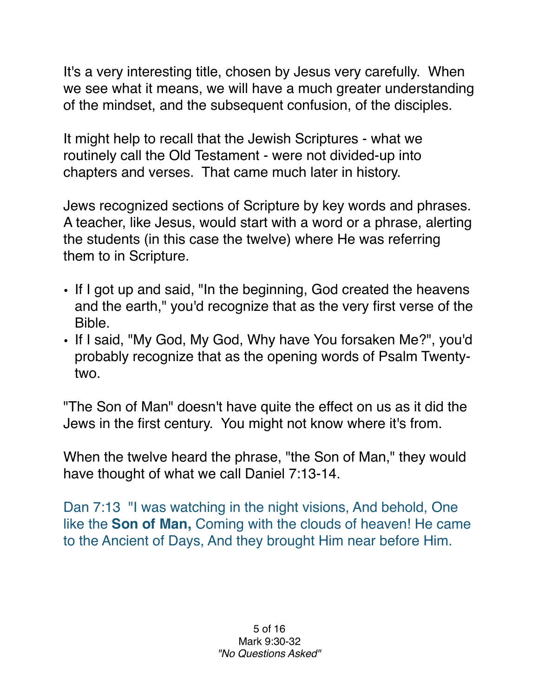It's a very interesting title, chosen by Jesus very carefully. When we see what it means, we will have a much greater understanding of the mindset, and the subsequent confusion, of the disciples.

It might help to recall that the Jewish Scriptures - what we routinely call the Old Testament - were not divided-up into chapters and verses. That came much later in history.

Jews recognized sections of Scripture by key words and phrases. A teacher, like Jesus, would start with a word or a phrase, alerting the students (in this case the twelve) where He was referring them to in Scripture.

- If I got up and said, "In the beginning, God created the heavens and the earth," you'd recognize that as the very first verse of the Bible.
- If I said, "My God, My God, Why have You forsaken Me?", you'd probably recognize that as the opening words of Psalm Twentytwo.

"The Son of Man" doesn't have quite the effect on us as it did the Jews in the first century. You might not know where it's from.

When the twelve heard the phrase, "the Son of Man," they would have thought of what we call Daniel 7:13-14.

Dan 7:13 "I was watching in the night visions, And behold, One like the **Son of Man,** Coming with the clouds of heaven! He came to the Ancient of Days, And they brought Him near before Him.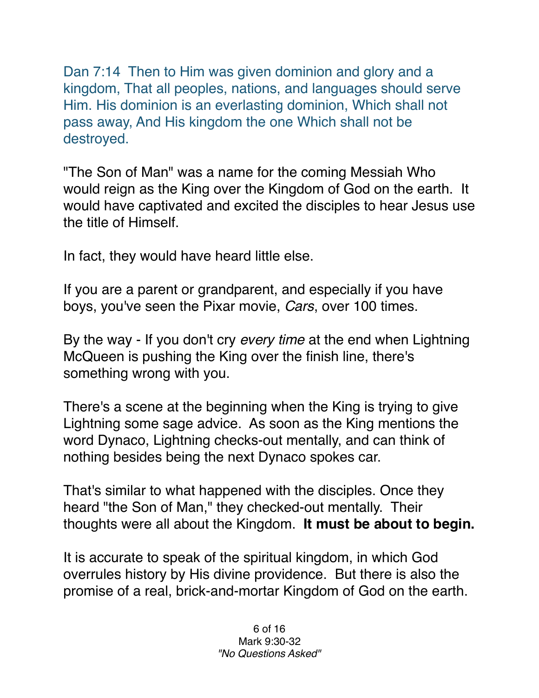Dan 7:14 Then to Him was given dominion and glory and a kingdom, That all peoples, nations, and languages should serve Him. His dominion is an everlasting dominion, Which shall not pass away, And His kingdom the one Which shall not be destroyed.

"The Son of Man" was a name for the coming Messiah Who would reign as the King over the Kingdom of God on the earth. It would have captivated and excited the disciples to hear Jesus use the title of Himself.

In fact, they would have heard little else.

If you are a parent or grandparent, and especially if you have boys, you've seen the Pixar movie, *Cars*, over 100 times.

By the way - If you don't cry *every time* at the end when Lightning McQueen is pushing the King over the finish line, there's something wrong with you.

There's a scene at the beginning when the King is trying to give Lightning some sage advice. As soon as the King mentions the word Dynaco, Lightning checks-out mentally, and can think of nothing besides being the next Dynaco spokes car.

That's similar to what happened with the disciples. Once they heard "the Son of Man," they checked-out mentally. Their thoughts were all about the Kingdom. **It must be about to begin.**

It is accurate to speak of the spiritual kingdom, in which God overrules history by His divine providence. But there is also the promise of a real, brick-and-mortar Kingdom of God on the earth.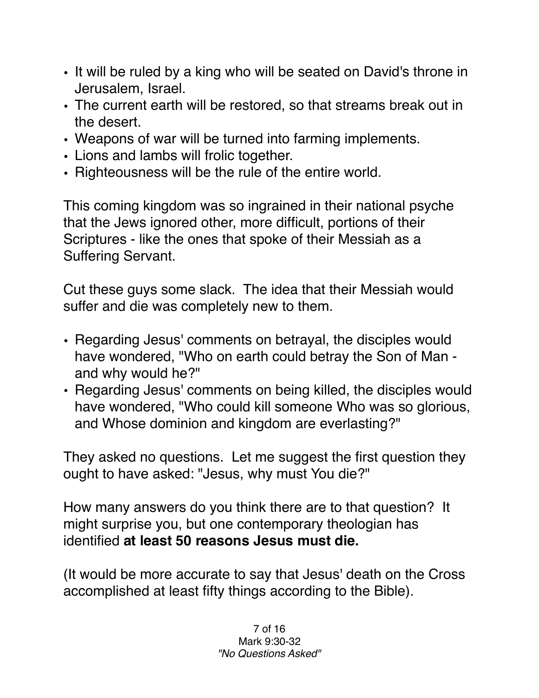- It will be ruled by a king who will be seated on David's throne in Jerusalem, Israel.
- The current earth will be restored, so that streams break out in the desert.
- Weapons of war will be turned into farming implements.
- Lions and lambs will frolic together.
- Righteousness will be the rule of the entire world.

This coming kingdom was so ingrained in their national psyche that the Jews ignored other, more difficult, portions of their Scriptures - like the ones that spoke of their Messiah as a Suffering Servant.

Cut these guys some slack. The idea that their Messiah would suffer and die was completely new to them.

- Regarding Jesus' comments on betrayal, the disciples would have wondered, "Who on earth could betray the Son of Man and why would he?"
- Regarding Jesus' comments on being killed, the disciples would have wondered, "Who could kill someone Who was so glorious, and Whose dominion and kingdom are everlasting?"

They asked no questions. Let me suggest the first question they ought to have asked: "Jesus, why must You die?"

How many answers do you think there are to that question? It might surprise you, but one contemporary theologian has identified **at least 50 reasons Jesus must die.** 

(It would be more accurate to say that Jesus' death on the Cross accomplished at least fifty things according to the Bible).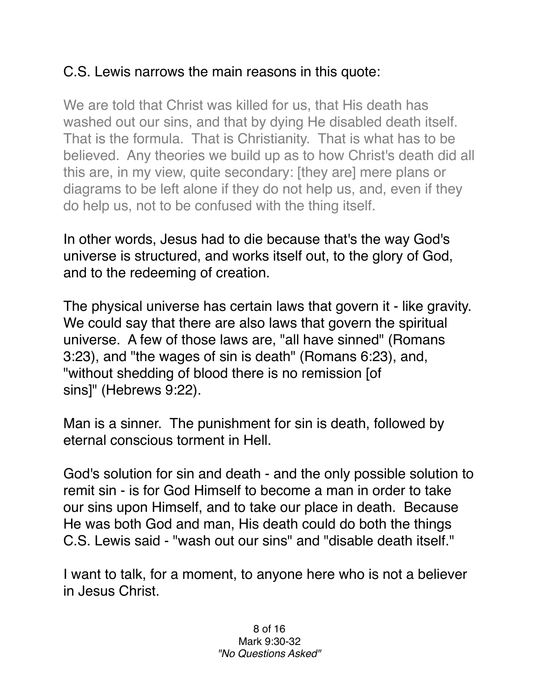## C.S. Lewis narrows the main reasons in this quote:

We are told that Christ was killed for us, that His death has washed out our sins, and that by dying He disabled death itself. That is the formula. That is Christianity. That is what has to be believed. Any theories we build up as to how Christ's death did all this are, in my view, quite secondary: [they are] mere plans or diagrams to be left alone if they do not help us, and, even if they do help us, not to be confused with the thing itself.

In other words, Jesus had to die because that's the way God's universe is structured, and works itself out, to the glory of God, and to the redeeming of creation.

The physical universe has certain laws that govern it - like gravity. We could say that there are also laws that govern the spiritual universe. A few of those laws are, "all have sinned" (Romans 3:23), and "the wages of sin is death" (Romans 6:23), and, "without shedding of blood there is no remission [of sins]" (Hebrews 9:22).

Man is a sinner. The punishment for sin is death, followed by eternal conscious torment in Hell.

God's solution for sin and death - and the only possible solution to remit sin - is for God Himself to become a man in order to take our sins upon Himself, and to take our place in death. Because He was both God and man, His death could do both the things C.S. Lewis said - "wash out our sins" and "disable death itself."

I want to talk, for a moment, to anyone here who is not a believer in Jesus Christ.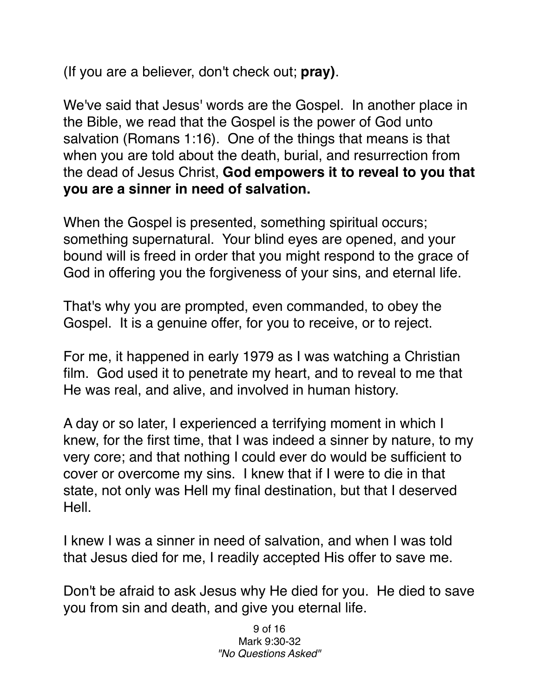(If you are a believer, don't check out; **pray)**.

We've said that Jesus' words are the Gospel. In another place in the Bible, we read that the Gospel is the power of God unto salvation (Romans 1:16). One of the things that means is that when you are told about the death, burial, and resurrection from the dead of Jesus Christ, **God empowers it to reveal to you that you are a sinner in need of salvation.**

When the Gospel is presented, something spiritual occurs; something supernatural. Your blind eyes are opened, and your bound will is freed in order that you might respond to the grace of God in offering you the forgiveness of your sins, and eternal life.

That's why you are prompted, even commanded, to obey the Gospel. It is a genuine offer, for you to receive, or to reject.

For me, it happened in early 1979 as I was watching a Christian film. God used it to penetrate my heart, and to reveal to me that He was real, and alive, and involved in human history.

A day or so later, I experienced a terrifying moment in which I knew, for the first time, that I was indeed a sinner by nature, to my very core; and that nothing I could ever do would be sufficient to cover or overcome my sins. I knew that if I were to die in that state, not only was Hell my final destination, but that I deserved Hell.

I knew I was a sinner in need of salvation, and when I was told that Jesus died for me, I readily accepted His offer to save me.

Don't be afraid to ask Jesus why He died for you. He died to save you from sin and death, and give you eternal life.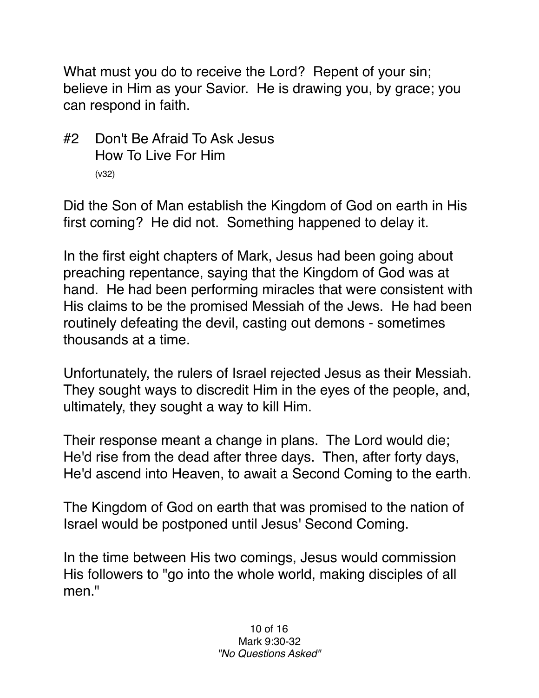What must you do to receive the Lord? Repent of your sin; believe in Him as your Savior. He is drawing you, by grace; you can respond in faith.

#2 Don't Be Afraid To Ask Jesus How To Live For Him (v32)

Did the Son of Man establish the Kingdom of God on earth in His first coming? He did not. Something happened to delay it.

In the first eight chapters of Mark, Jesus had been going about preaching repentance, saying that the Kingdom of God was at hand. He had been performing miracles that were consistent with His claims to be the promised Messiah of the Jews. He had been routinely defeating the devil, casting out demons - sometimes thousands at a time.

Unfortunately, the rulers of Israel rejected Jesus as their Messiah. They sought ways to discredit Him in the eyes of the people, and, ultimately, they sought a way to kill Him.

Their response meant a change in plans. The Lord would die; He'd rise from the dead after three days. Then, after forty days, He'd ascend into Heaven, to await a Second Coming to the earth.

The Kingdom of God on earth that was promised to the nation of Israel would be postponed until Jesus' Second Coming.

In the time between His two comings, Jesus would commission His followers to "go into the whole world, making disciples of all men."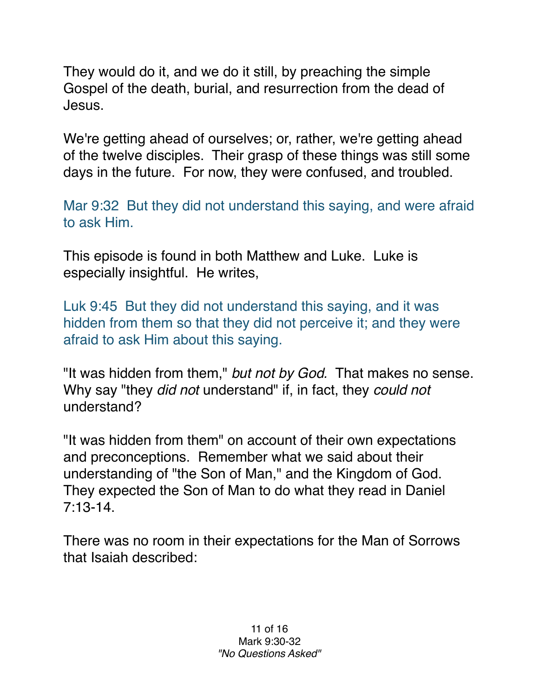They would do it, and we do it still, by preaching the simple Gospel of the death, burial, and resurrection from the dead of Jesus.

We're getting ahead of ourselves; or, rather, we're getting ahead of the twelve disciples. Their grasp of these things was still some days in the future. For now, they were confused, and troubled.

Mar 9:32 But they did not understand this saying, and were afraid to ask Him.

This episode is found in both Matthew and Luke. Luke is especially insightful. He writes,

Luk 9:45 But they did not understand this saying, and it was hidden from them so that they did not perceive it; and they were afraid to ask Him about this saying.

"It was hidden from them," *but not by God.* That makes no sense. Why say "they *did not* understand" if, in fact, they *could not* understand?

"It was hidden from them" on account of their own expectations and preconceptions. Remember what we said about their understanding of "the Son of Man," and the Kingdom of God. They expected the Son of Man to do what they read in Daniel 7:13-14.

There was no room in their expectations for the Man of Sorrows that Isaiah described: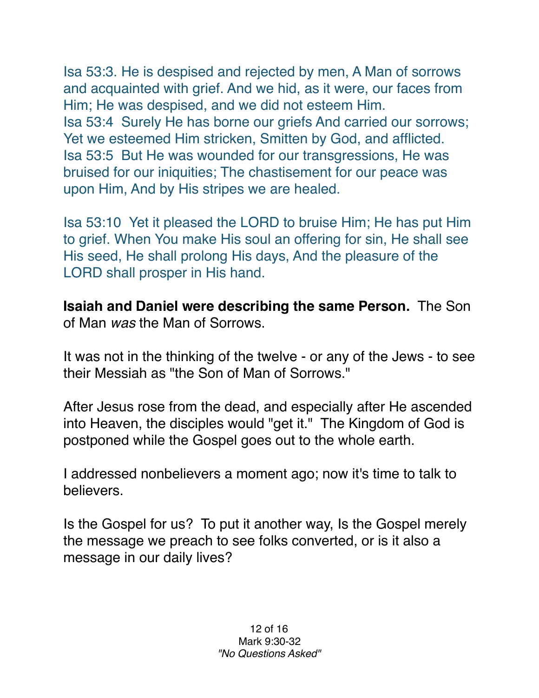Isa 53:3. He is despised and rejected by men, A Man of sorrows and acquainted with grief. And we hid, as it were, our faces from Him; He was despised, and we did not esteem Him. Isa 53:4 Surely He has borne our griefs And carried our sorrows; Yet we esteemed Him stricken, Smitten by God, and afflicted. Isa 53:5 But He was wounded for our transgressions, He was bruised for our iniquities; The chastisement for our peace was upon Him, And by His stripes we are healed.

Isa 53:10 Yet it pleased the LORD to bruise Him; He has put Him to grief. When You make His soul an offering for sin, He shall see His seed, He shall prolong His days, And the pleasure of the LORD shall prosper in His hand.

**Isaiah and Daniel were describing the same Person.** The Son of Man *was* the Man of Sorrows.

It was not in the thinking of the twelve - or any of the Jews - to see their Messiah as "the Son of Man of Sorrows."

After Jesus rose from the dead, and especially after He ascended into Heaven, the disciples would "get it." The Kingdom of God is postponed while the Gospel goes out to the whole earth.

I addressed nonbelievers a moment ago; now it's time to talk to believers.

Is the Gospel for us? To put it another way, Is the Gospel merely the message we preach to see folks converted, or is it also a message in our daily lives?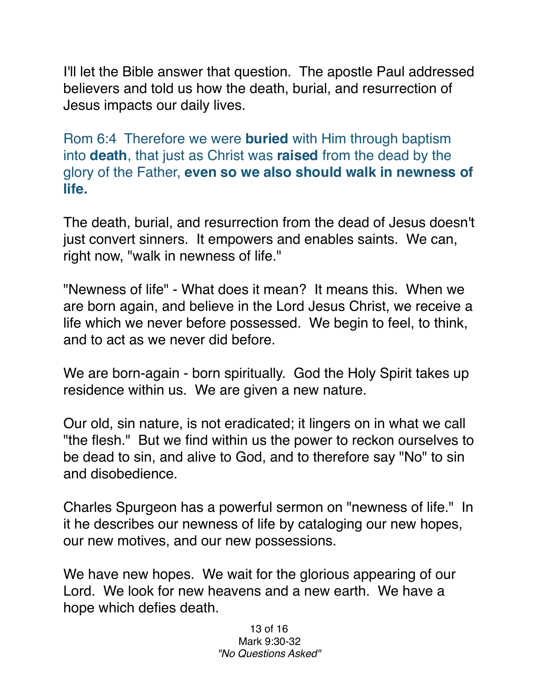I'll let the Bible answer that question. The apostle Paul addressed believers and told us how the death, burial, and resurrection of Jesus impacts our daily lives.

Rom 6:4 Therefore we were **buried** with Him through baptism into **death**, that just as Christ was **raised** from the dead by the glory of the Father, **even so we also should walk in newness of life.**

The death, burial, and resurrection from the dead of Jesus doesn't just convert sinners. It empowers and enables saints. We can, right now, "walk in newness of life."

"Newness of life" - What does it mean? It means this. When we are born again, and believe in the Lord Jesus Christ, we receive a life which we never before possessed. We begin to feel, to think, and to act as we never did before.

We are born-again - born spiritually. God the Holy Spirit takes up residence within us. We are given a new nature.

Our old, sin nature, is not eradicated; it lingers on in what we call "the flesh." But we find within us the power to reckon ourselves to be dead to sin, and alive to God, and to therefore say "No" to sin and disobedience.

Charles Spurgeon has a powerful sermon on "newness of life." In it he describes our newness of life by cataloging our new hopes, our new motives, and our new possessions.

We have new hopes. We wait for the glorious appearing of our Lord. We look for new heavens and a new earth. We have a hope which defies death.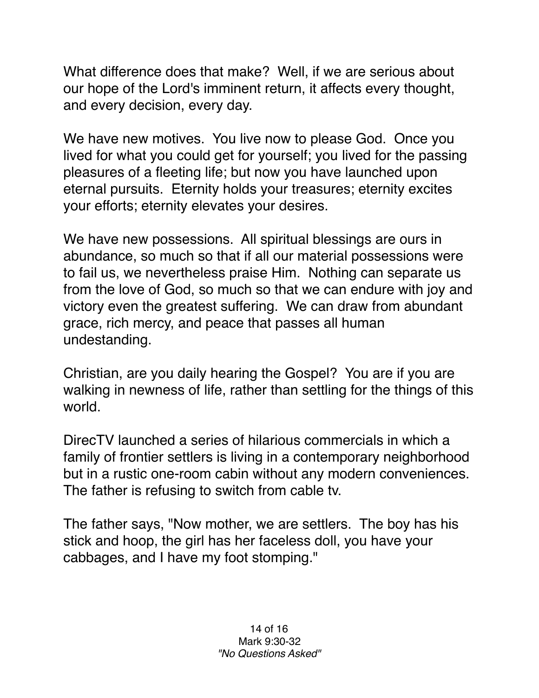What difference does that make? Well, if we are serious about our hope of the Lord's imminent return, it affects every thought, and every decision, every day.

We have new motives. You live now to please God. Once you lived for what you could get for yourself; you lived for the passing pleasures of a fleeting life; but now you have launched upon eternal pursuits. Eternity holds your treasures; eternity excites your efforts; eternity elevates your desires.

We have new possessions. All spiritual blessings are ours in abundance, so much so that if all our material possessions were to fail us, we nevertheless praise Him. Nothing can separate us from the love of God, so much so that we can endure with joy and victory even the greatest suffering. We can draw from abundant grace, rich mercy, and peace that passes all human undestanding.

Christian, are you daily hearing the Gospel? You are if you are walking in newness of life, rather than settling for the things of this world.

DirecTV launched a series of hilarious commercials in which a family of frontier settlers is living in a contemporary neighborhood but in a rustic one-room cabin without any modern conveniences. The father is refusing to switch from cable tv.

The father says, "Now mother, we are settlers. The boy has his stick and hoop, the girl has her faceless doll, you have your cabbages, and I have my foot stomping."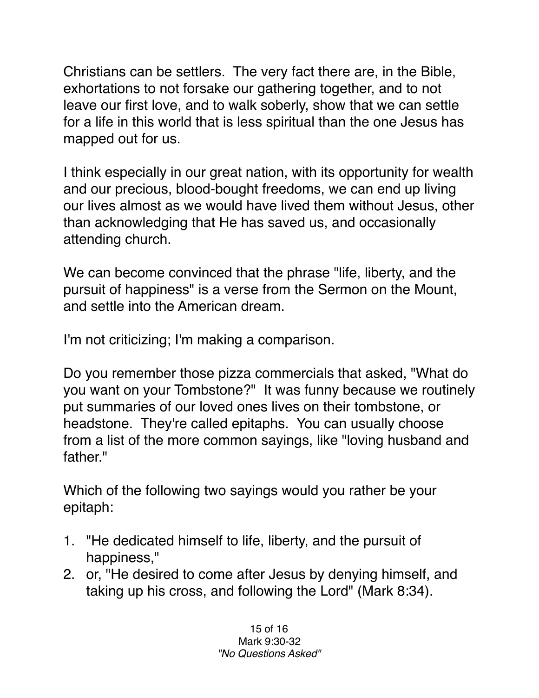Christians can be settlers. The very fact there are, in the Bible, exhortations to not forsake our gathering together, and to not leave our first love, and to walk soberly, show that we can settle for a life in this world that is less spiritual than the one Jesus has mapped out for us.

I think especially in our great nation, with its opportunity for wealth and our precious, blood-bought freedoms, we can end up living our lives almost as we would have lived them without Jesus, other than acknowledging that He has saved us, and occasionally attending church.

We can become convinced that the phrase "life, liberty, and the pursuit of happiness" is a verse from the Sermon on the Mount, and settle into the American dream.

I'm not criticizing; I'm making a comparison.

Do you remember those pizza commercials that asked, "What do you want on your Tombstone?" It was funny because we routinely put summaries of our loved ones lives on their tombstone, or headstone. They're called epitaphs. You can usually choose from a list of the more common sayings, like "loving husband and father."

Which of the following two sayings would you rather be your epitaph:

- 1. "He dedicated himself to life, liberty, and the pursuit of happiness,"
- 2. or, "He desired to come after Jesus by denying himself, and taking up his cross, and following the Lord" (Mark 8:34).